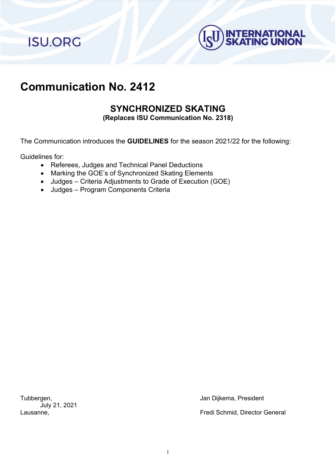**ISU.ORG** 



# **Communication No. 2412**

## **SYNCHRONIZED SKATING**

**(Replaces ISU Communication No. 2318)**

The Communication introduces the **GUIDELINES** for the season 2021/22 for the following:

Guidelines for:

- Referees, Judges and Technical Panel Deductions
- Marking the GOE's of Synchronized Skating Elements
- Judges Criteria Adjustments to Grade of Execution (GOE)
- Judges Program Components Criteria

July 21, 2021

Tubbergen, Jan Dijkema, President

Lausanne, Fredi Schmid, Director General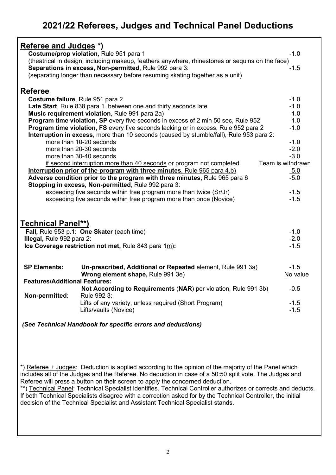# **2021/22 Referees, Judges and Technical Panel Deductions**

| <b>Referee and Judges *)</b>         |                                                                                                                |                     |
|--------------------------------------|----------------------------------------------------------------------------------------------------------------|---------------------|
|                                      | Costume/prop violation, Rule 951 para 1                                                                        | $-1.0$              |
|                                      | (theatrical in design, including makeup, feathers anywhere, rhinestones or sequins on the face)                |                     |
|                                      | Separations in excess, Non-permitted, Rule 992 para 3:                                                         | $-1.5$              |
|                                      | (separating longer than necessary before resuming skating together as a unit)                                  |                     |
|                                      |                                                                                                                |                     |
| <b>Referee</b>                       |                                                                                                                |                     |
| Costume failure, Rule 951 para 2     |                                                                                                                | $-1.0$              |
|                                      | Late Start, Rule 838 para 1. between one and thirty seconds late                                               | $-1.0$              |
|                                      | Music requirement violation, Rule 991 para 2a)                                                                 | $-1.0$              |
|                                      | <b>Program time violation, SP</b> every five seconds in excess of 2 min 50 sec, Rule 952                       | $-1.0$              |
|                                      | Program time violation, FS every five seconds lacking or in excess, Rule 952 para 2                            | $-1.0$              |
|                                      | Interruption in excess, more than 10 seconds (caused by stumble/fall), Rule 953 para 2:                        |                     |
|                                      | more than 10-20 seconds                                                                                        | $-1.0$              |
|                                      | more than 20-30 seconds                                                                                        | $-2.0$              |
|                                      | more than 30-40 seconds                                                                                        | $-3.0$              |
|                                      | if second interruption more than 40 seconds or program not completed                                           | Team is withdrawn   |
|                                      | Interruption prior of the program with three minutes, Rule 965 para 4.b)                                       | $\frac{-5.0}{-5.0}$ |
|                                      | Adverse condition prior to the program with three minutes, Rule 965 para 6                                     |                     |
|                                      | Stopping in excess, Non-permitted, Rule 992 para 3:                                                            |                     |
|                                      | exceeding five seconds within free program more than twice (Sr/Jr)                                             | $-1.5$              |
|                                      | exceeding five seconds within free program more than once (Novice)                                             | $-1.5$              |
|                                      |                                                                                                                |                     |
|                                      |                                                                                                                |                     |
| <u>Technical Panel**)</u>            |                                                                                                                |                     |
|                                      | Fall, Rule 953 p.1: One Skater (each time)                                                                     | $-1.0$              |
| Illegal, Rule 992 para 2:            |                                                                                                                | $-2.0$              |
|                                      | Ice Coverage restriction not met, Rule 843 para $1m$ ):                                                        | $-1.5$              |
|                                      |                                                                                                                |                     |
| <b>SP Elements:</b>                  | Un-prescribed, Additional or Repeated element, Rule 991 3a)                                                    | $-1.5$              |
|                                      | Wrong element shape, Rule 991 3e)                                                                              | No value            |
| <b>Features/Additional Features:</b> |                                                                                                                |                     |
|                                      | Not According to Requirements (NAR) per violation, Rule 991 3b)                                                | $-0.5$              |
| Non-permitted:                       | Rule 992 3:                                                                                                    |                     |
|                                      | Lifts of any variety, unless required (Short Program)                                                          | $-1.5$              |
|                                      | Lifts/vaults (Novice)                                                                                          | $-1.5$              |
|                                      |                                                                                                                |                     |
|                                      | (See Technical Handbook for specific errors and deductions)                                                    |                     |
|                                      |                                                                                                                |                     |
|                                      |                                                                                                                |                     |
|                                      |                                                                                                                |                     |
|                                      |                                                                                                                |                     |
|                                      |                                                                                                                |                     |
|                                      | *) Referee + Judges: Deduction is applied according to the opinion of the majority of the Panel which          |                     |
|                                      | includes all of the Judges and the Referee. No deduction in case of a 50:50 split vote. The Judges and         |                     |
|                                      | Referee will press a button on their screen to apply the concerned deduction.                                  |                     |
|                                      | **) Technical Panel: Technical Specialist identifies. Technical Controller authorizes or corrects and deducts. |                     |
|                                      | If both Technical Specialists disagree with a correction asked for by the Technical Controller, the initial    |                     |

decision of the Technical Specialist and Assistant Technical Specialist stands.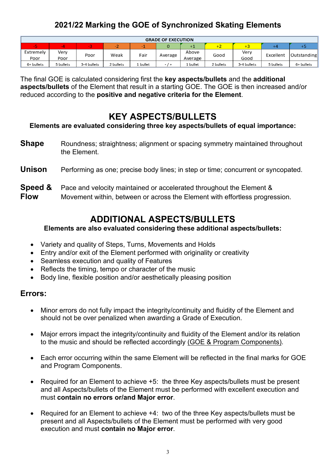### **2021/22 Marking the GOE of Synchronized Skating Elements**

| <b>GRADE OF EXECUTION</b> |           |             |           |          |         |          |           |             |           |             |
|---------------------------|-----------|-------------|-----------|----------|---------|----------|-----------|-------------|-----------|-------------|
| -5                        |           |             | <b>TA</b> |          |         |          | <b>T4</b> |             | $+4$      | гэ          |
| Extremely                 | Verv      | Poor        | Weak      | Fair     |         | Above    | Good      | Verv        | Excellent |             |
| Poor                      | Poor      |             |           |          | Average | Average  |           | Good        |           | Outstanding |
| 6+ bullets                | 5 bullets | 3-4 bullets | 2 bullets | l bullet | $-$     | ! bullet | 2 bullets | 3-4 bullets | 5 bullets | 6+ bullets  |

The final GOE is calculated considering first the **key aspects/bullets** and the **additional aspects/bullets** of the Element that result in a starting GOE. The GOE is then increased and/or reduced according to the **positive and negative criteria for the Element**.

### **KEY ASPECTS/BULLETS**

**Elements are evaluated considering three key aspects/bullets of equal importance:**

**Shape** Roundness; straightness; alignment or spacing symmetry maintained throughout the Element.

#### **Unison** Performing as one; precise body lines; in step or time; concurrent or syncopated.

# **Speed &** Pace and velocity maintained or accelerated throughout the Element &<br>**Flow** Movement within between or across the Flement with effortless progre

**Flow** Movement within, between or across the Element with effortless progression.

## **ADDITIONAL ASPECTS/BULLETS**

### **Elements are also evaluated considering these additional aspects/bullets:**

- Variety and quality of Steps, Turns, Movements and Holds
- Entry and/or exit of the Element performed with originality or creativity
- Seamless execution and quality of Features
- Reflects the timing, tempo or character of the music
- Body line, flexible position and/or aesthetically pleasing position

### **Errors:**

- Minor errors do not fully impact the integrity/continuity and fluidity of the Element and should not be over penalized when awarding a Grade of Execution.
- Major errors impact the integrity/continuity and fluidity of the Element and/or its relation to the music and should be reflected accordingly (GOE & Program Components).
- Each error occurring within the same Element will be reflected in the final marks for GOE and Program Components.
- Required for an Element to achieve +5: the three Key aspects/bullets must be present and all Aspects/bullets of the Element must be performed with excellent execution and must **contain no errors or/and Major error**.
- Required for an Element to achieve +4: two of the three Key aspects/bullets must be present and all Aspects/bullets of the Element must be performed with very good execution and must **contain no Major error**.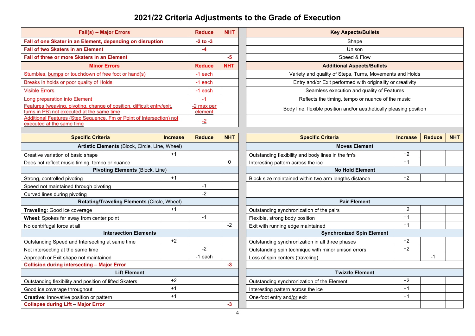## **2021/22 Criteria Adjustments to the Grade of Execution**

| <b>Fall(s) -- Major Errors</b>                                                                                       |                       | <b>Reduce</b> | <b>NHT</b>           | <b>Key Aspects/Bullets</b>                                          |                 |               |            |  |
|----------------------------------------------------------------------------------------------------------------------|-----------------------|---------------|----------------------|---------------------------------------------------------------------|-----------------|---------------|------------|--|
| Fall of one Skater in an Element, depending on disruption                                                            |                       | $-2$ to $-3$  |                      | Shape                                                               |                 |               |            |  |
| <b>Fall of two Skaters in an Element</b><br>-4                                                                       |                       |               |                      | Unison                                                              |                 |               |            |  |
| Fall of three or more Skaters in an Element                                                                          |                       |               | -5                   | Speed & Flow                                                        |                 |               |            |  |
| <b>Minor Errors</b>                                                                                                  |                       | <b>Reduce</b> | <b>NHT</b>           | <b>Additional Aspects/Bullets</b>                                   |                 |               |            |  |
| Stumbles, bumps or touchdown of free foot or hand(s)                                                                 |                       | -1 each       |                      | Variety and quality of Steps, Turns, Movements and Holds            |                 |               |            |  |
| Breaks in holds or poor quality of Holds                                                                             |                       | -1 each       |                      | Entry and/or Exit performed with originality or creativity          |                 |               |            |  |
| <b>Visible Errors</b>                                                                                                |                       | -1 each       |                      | Seamless execution and quality of Features                          |                 |               |            |  |
| Long preparation into Element                                                                                        |                       | $-1$          |                      | Reflects the timing, tempo or nuance of the music                   |                 |               |            |  |
| Features (weaving, pivoting, change of position, difficult entry/exit,<br>turns in PB) not executed at the same time | -2 max per<br>element |               |                      | Body line, flexible position and/or aesthetically pleasing position |                 |               |            |  |
| Additional Features (Step Sequence, Fm or Point of Intersection) not<br>executed at the same time                    | $\overline{-2}$       |               |                      |                                                                     |                 |               |            |  |
| <b>Specific Criteria</b>                                                                                             | <b>Increase</b>       | <b>Reduce</b> | <b>NHT</b>           | <b>Specific Criteria</b>                                            | <b>Increase</b> | <b>Reduce</b> | <b>NHT</b> |  |
| Artistic Elements (Block, Circle, Line, Wheel)                                                                       |                       |               | <b>Moves Element</b> |                                                                     |                 |               |            |  |
| Creative variation of basic shape                                                                                    | $+1$                  |               |                      | Outstanding flexibility and body lines in the fm's                  | $+2$            |               |            |  |
| Does not reflect music timing, tempo or nuance                                                                       |                       |               | $\Omega$             | Interesting pattern across the ice                                  | $+1$            |               |            |  |
| Pivoting Elements (Block, Line)                                                                                      |                       |               |                      | <b>No Hold Element</b>                                              |                 |               |            |  |
| Strong, controlled pivoting                                                                                          | $+1$                  |               |                      | Block size maintained within two arm lengths distance               | $+2$            |               |            |  |
| Speed not maintained through pivoting                                                                                |                       | $-1$          |                      |                                                                     |                 |               |            |  |
| Curved lines during pivoting                                                                                         |                       | $-2$          |                      |                                                                     |                 |               |            |  |
| Rotating/Traveling Elements (Circle, Wheel)                                                                          |                       |               |                      | <b>Pair Element</b>                                                 |                 |               |            |  |
| Traveling: Good ice coverage                                                                                         | $+1$                  |               |                      | Outstanding synchronization of the pairs                            | $+2$            |               |            |  |
| Wheel: Spokes far away from center point                                                                             |                       | $-1$          |                      | Flexible, strong body position                                      | $+1$            |               |            |  |
| No centrifugal force at all                                                                                          |                       |               | $-2$                 | Exit with running edge maintained                                   | $+1$            |               |            |  |
| <b>Intersection Elements</b>                                                                                         |                       |               |                      | <b>Synchronized Spin Element</b>                                    |                 |               |            |  |
| Outstanding Speed and Intersecting at same time                                                                      | $+2$                  |               |                      | Outstanding synchronization in all three phases                     | $+2$            |               |            |  |
| Not interessing at the same time                                                                                     |                       |               |                      | Outstanding on in tashnique with miner unions errors                | $+2$            |               |            |  |

| Outstanding Speed and Intersecting at same time        | $+2$ |         |    | Outstanding synchronization in all three phases     | $+2$ |  |
|--------------------------------------------------------|------|---------|----|-----------------------------------------------------|------|--|
| Not intersecting at the same time                      |      | -2      |    | Outstanding spin technique with minor unison errors | $+2$ |  |
| Approach or Exit shape not maintained                  |      | -1 each |    | Loss of spin centers (traveling)                    |      |  |
| <b>Collision during intersecting - Major Error</b>     |      |         |    |                                                     |      |  |
| <b>Lift Element</b>                                    |      |         |    | <b>Twizzle Element</b>                              |      |  |
| Outstanding flexibility and position of lifted Skaters | $+2$ |         |    | Outstanding synchronization of the Element          | $+2$ |  |
|                                                        |      |         |    |                                                     |      |  |
| Good ice coverage throughout                           | $+1$ |         |    | Interesting pattern across the ice                  | $+1$ |  |
| Creative: Innovative position or pattern               | $+1$ |         |    | One-foot entry and/or exit                          | $+1$ |  |
| <b>Collapse during Lift - Major Error</b>              |      |         | -5 |                                                     |      |  |

|                              | $+1$ |         |      | Outstanding flexibility and body lines in the fm's    | $+2$ |      |  |
|------------------------------|------|---------|------|-------------------------------------------------------|------|------|--|
| านance                       |      |         | 0    | Interesting pattern across the ice                    | $+1$ |      |  |
| Elements (Block, Line)       |      |         |      | <b>No Hold Element</b>                                |      |      |  |
|                              | $+1$ |         |      | Block size maintained within two arm lengths distance | $+2$ |      |  |
|                              |      | $-1$    |      |                                                       |      |      |  |
|                              |      | $-2$    |      |                                                       |      |      |  |
| ing Elements (Circle, Wheel) |      |         |      | <b>Pair Element</b>                                   |      |      |  |
|                              | $+1$ |         |      | Outstanding synchronization of the pairs              | $+2$ |      |  |
| nt                           |      | $-1$    |      | Flexible, strong body position                        | $+1$ |      |  |
|                              |      |         | $-2$ | Exit with running edge maintained                     | $+1$ |      |  |
| section Elements             |      |         |      | <b>Synchronized Spin Element</b>                      |      |      |  |
| ame time                     | $+2$ |         |      | Outstanding synchronization in all three phases       | $+2$ |      |  |
|                              |      | $-2$    |      | Outstanding spin technique with minor unison errors   | $+2$ |      |  |
|                              |      | -1 each |      | Loss of spin centers (traveling)                      |      | $-1$ |  |
| Error                        |      |         | $-3$ |                                                       |      |      |  |
| <b>Lift Element</b>          |      |         |      | <b>Twizzle Element</b>                                |      |      |  |
| d Skaters                    | $+2$ |         |      | Outstanding synchronization of the Element            | $+2$ |      |  |
|                              | $+1$ |         |      | Interesting pattern across the ice                    | $+1$ |      |  |
|                              | $+1$ |         |      | One-foot entry and/or exit                            | $+1$ |      |  |
|                              |      |         | $-3$ |                                                       |      |      |  |
|                              |      |         |      |                                                       |      |      |  |